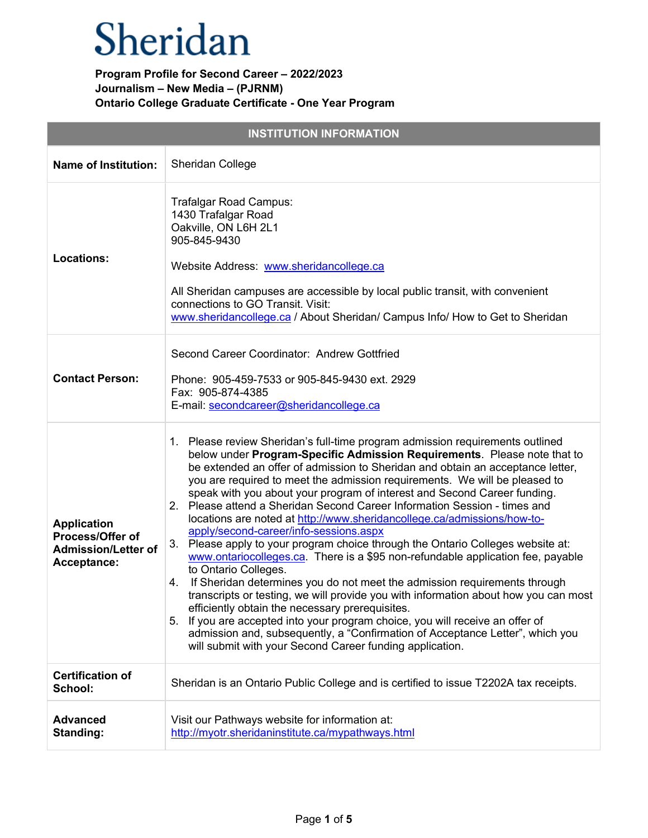| <b>INSTITUTION INFORMATION</b>                                                      |                                                                                                                                                                                                                                                                                                                                                                                                                                                                                                                                                                                                                                                                                                                                                                                                                                                                                                                                                                                                                                                                                                                                                                                                                                                                     |  |
|-------------------------------------------------------------------------------------|---------------------------------------------------------------------------------------------------------------------------------------------------------------------------------------------------------------------------------------------------------------------------------------------------------------------------------------------------------------------------------------------------------------------------------------------------------------------------------------------------------------------------------------------------------------------------------------------------------------------------------------------------------------------------------------------------------------------------------------------------------------------------------------------------------------------------------------------------------------------------------------------------------------------------------------------------------------------------------------------------------------------------------------------------------------------------------------------------------------------------------------------------------------------------------------------------------------------------------------------------------------------|--|
| <b>Name of Institution:</b>                                                         | Sheridan College                                                                                                                                                                                                                                                                                                                                                                                                                                                                                                                                                                                                                                                                                                                                                                                                                                                                                                                                                                                                                                                                                                                                                                                                                                                    |  |
| <b>Locations:</b>                                                                   | Trafalgar Road Campus:<br>1430 Trafalgar Road<br>Oakville, ON L6H 2L1<br>905-845-9430<br>Website Address: www.sheridancollege.ca<br>All Sheridan campuses are accessible by local public transit, with convenient<br>connections to GO Transit. Visit:<br>www.sheridancollege.ca / About Sheridan/ Campus Info/ How to Get to Sheridan                                                                                                                                                                                                                                                                                                                                                                                                                                                                                                                                                                                                                                                                                                                                                                                                                                                                                                                              |  |
| <b>Contact Person:</b>                                                              | Second Career Coordinator: Andrew Gottfried<br>Phone: 905-459-7533 or 905-845-9430 ext. 2929<br>Fax: 905-874-4385<br>E-mail: secondcareer@sheridancollege.ca                                                                                                                                                                                                                                                                                                                                                                                                                                                                                                                                                                                                                                                                                                                                                                                                                                                                                                                                                                                                                                                                                                        |  |
| <b>Application</b><br>Process/Offer of<br><b>Admission/Letter of</b><br>Acceptance: | 1. Please review Sheridan's full-time program admission requirements outlined<br>below under Program-Specific Admission Requirements. Please note that to<br>be extended an offer of admission to Sheridan and obtain an acceptance letter,<br>you are required to meet the admission requirements. We will be pleased to<br>speak with you about your program of interest and Second Career funding.<br>2. Please attend a Sheridan Second Career Information Session - times and<br>locations are noted at http://www.sheridancollege.ca/admissions/how-to-<br>apply/second-career/info-sessions.aspx<br>3. Please apply to your program choice through the Ontario Colleges website at:<br>www.ontariocolleges.ca. There is a \$95 non-refundable application fee, payable<br>to Ontario Colleges.<br>If Sheridan determines you do not meet the admission requirements through<br>4.<br>transcripts or testing, we will provide you with information about how you can most<br>efficiently obtain the necessary prerequisites.<br>If you are accepted into your program choice, you will receive an offer of<br>5.<br>admission and, subsequently, a "Confirmation of Acceptance Letter", which you<br>will submit with your Second Career funding application. |  |
| <b>Certification of</b><br>School:                                                  | Sheridan is an Ontario Public College and is certified to issue T2202A tax receipts.                                                                                                                                                                                                                                                                                                                                                                                                                                                                                                                                                                                                                                                                                                                                                                                                                                                                                                                                                                                                                                                                                                                                                                                |  |
| <b>Advanced</b><br>Standing:                                                        | Visit our Pathways website for information at:<br>http://myotr.sheridaninstitute.ca/mypathways.html                                                                                                                                                                                                                                                                                                                                                                                                                                                                                                                                                                                                                                                                                                                                                                                                                                                                                                                                                                                                                                                                                                                                                                 |  |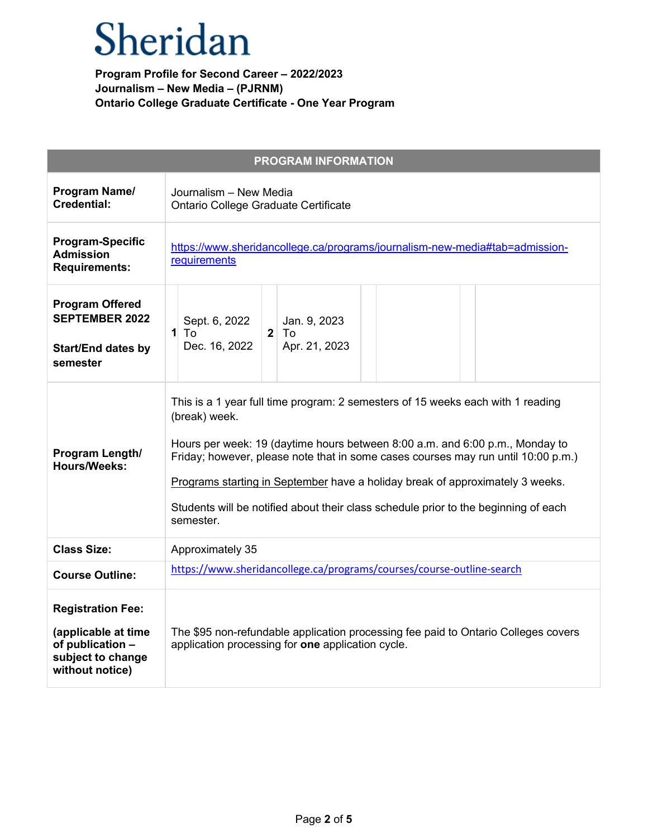| <b>PROGRAM INFORMATION</b>                                                                                  |                                                                                                                                                                                                                                                                                                                                                                                                                                                            |  |
|-------------------------------------------------------------------------------------------------------------|------------------------------------------------------------------------------------------------------------------------------------------------------------------------------------------------------------------------------------------------------------------------------------------------------------------------------------------------------------------------------------------------------------------------------------------------------------|--|
| Program Name/<br>Credential:                                                                                | Journalism - New Media<br>Ontario College Graduate Certificate                                                                                                                                                                                                                                                                                                                                                                                             |  |
| <b>Program-Specific</b><br><b>Admission</b><br><b>Requirements:</b>                                         | https://www.sheridancollege.ca/programs/journalism-new-media#tab=admission-<br>requirements                                                                                                                                                                                                                                                                                                                                                                |  |
| <b>Program Offered</b><br><b>SEPTEMBER 2022</b><br><b>Start/End dates by</b><br>semester                    | Sept. 6, 2022<br>Jan. 9, 2023<br>$1$ To<br>2 <sup>1</sup><br>To<br>Dec. 16, 2022<br>Apr. 21, 2023                                                                                                                                                                                                                                                                                                                                                          |  |
| Program Length/<br><b>Hours/Weeks:</b>                                                                      | This is a 1 year full time program: 2 semesters of 15 weeks each with 1 reading<br>(break) week.<br>Hours per week: 19 (daytime hours between 8:00 a.m. and 6:00 p.m., Monday to<br>Friday; however, please note that in some cases courses may run until 10:00 p.m.)<br>Programs starting in September have a holiday break of approximately 3 weeks.<br>Students will be notified about their class schedule prior to the beginning of each<br>semester. |  |
| <b>Class Size:</b>                                                                                          | Approximately 35                                                                                                                                                                                                                                                                                                                                                                                                                                           |  |
| <b>Course Outline:</b>                                                                                      | https://www.sheridancollege.ca/programs/courses/course-outline-search                                                                                                                                                                                                                                                                                                                                                                                      |  |
| <b>Registration Fee:</b><br>(applicable at time<br>of publication -<br>subject to change<br>without notice) | The \$95 non-refundable application processing fee paid to Ontario Colleges covers<br>application processing for one application cycle.                                                                                                                                                                                                                                                                                                                    |  |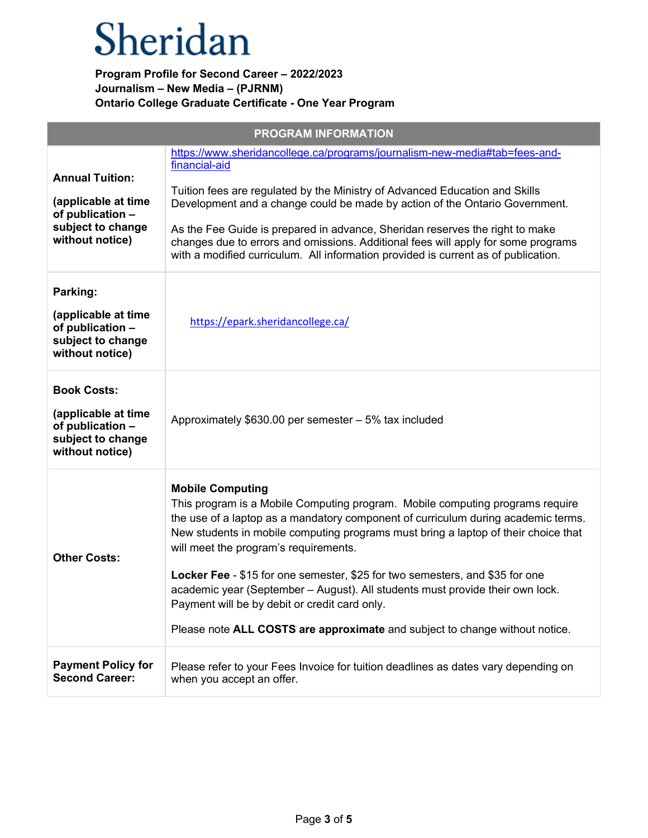| <b>PROGRAM INFORMATION</b>                                                                                |                                                                                                                                                                                                                                                                                                                                                                                                                                                                                                                                                                                                                               |  |
|-----------------------------------------------------------------------------------------------------------|-------------------------------------------------------------------------------------------------------------------------------------------------------------------------------------------------------------------------------------------------------------------------------------------------------------------------------------------------------------------------------------------------------------------------------------------------------------------------------------------------------------------------------------------------------------------------------------------------------------------------------|--|
| <b>Annual Tuition:</b><br>(applicable at time<br>of publication -<br>subject to change<br>without notice) | https://www.sheridancollege.ca/programs/journalism-new-media#tab=fees-and-<br>financial-aid<br>Tuition fees are regulated by the Ministry of Advanced Education and Skills<br>Development and a change could be made by action of the Ontario Government.<br>As the Fee Guide is prepared in advance, Sheridan reserves the right to make<br>changes due to errors and omissions. Additional fees will apply for some programs<br>with a modified curriculum. All information provided is current as of publication.                                                                                                          |  |
| Parking:<br>(applicable at time<br>of publication -<br>subject to change<br>without notice)               | https://epark.sheridancollege.ca/                                                                                                                                                                                                                                                                                                                                                                                                                                                                                                                                                                                             |  |
| <b>Book Costs:</b><br>(applicable at time<br>of publication -<br>subject to change<br>without notice)     | Approximately \$630.00 per semester - 5% tax included                                                                                                                                                                                                                                                                                                                                                                                                                                                                                                                                                                         |  |
| <b>Other Costs:</b>                                                                                       | <b>Mobile Computing</b><br>This program is a Mobile Computing program. Mobile computing programs require<br>the use of a laptop as a mandatory component of curriculum during academic terms.<br>New students in mobile computing programs must bring a laptop of their choice that<br>will meet the program's requirements.<br>Locker Fee - \$15 for one semester, \$25 for two semesters, and \$35 for one<br>academic year (September - August). All students must provide their own lock.<br>Payment will be by debit or credit card only.<br>Please note ALL COSTS are approximate and subject to change without notice. |  |
| <b>Payment Policy for</b><br><b>Second Career:</b>                                                        | Please refer to your Fees Invoice for tuition deadlines as dates vary depending on<br>when you accept an offer.                                                                                                                                                                                                                                                                                                                                                                                                                                                                                                               |  |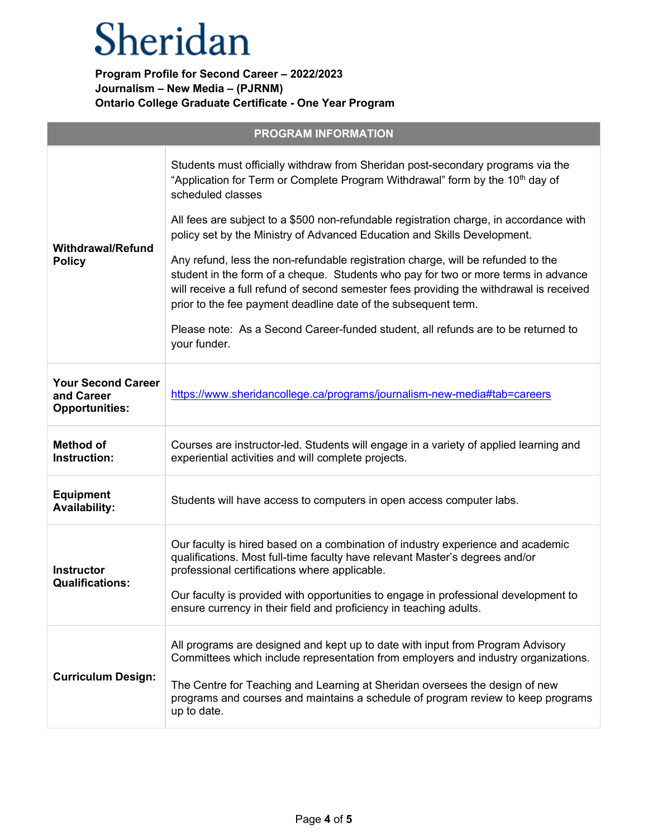| <b>PROGRAM INFORMATION</b>                                       |                                                                                                                                                                                                                                                                                                                                                        |  |
|------------------------------------------------------------------|--------------------------------------------------------------------------------------------------------------------------------------------------------------------------------------------------------------------------------------------------------------------------------------------------------------------------------------------------------|--|
| <b>Withdrawal/Refund</b><br><b>Policy</b>                        | Students must officially withdraw from Sheridan post-secondary programs via the<br>"Application for Term or Complete Program Withdrawal" form by the 10 <sup>th</sup> day of<br>scheduled classes                                                                                                                                                      |  |
|                                                                  | All fees are subject to a \$500 non-refundable registration charge, in accordance with<br>policy set by the Ministry of Advanced Education and Skills Development.                                                                                                                                                                                     |  |
|                                                                  | Any refund, less the non-refundable registration charge, will be refunded to the<br>student in the form of a cheque. Students who pay for two or more terms in advance<br>will receive a full refund of second semester fees providing the withdrawal is received<br>prior to the fee payment deadline date of the subsequent term.                    |  |
|                                                                  | Please note: As a Second Career-funded student, all refunds are to be returned to<br>your funder.                                                                                                                                                                                                                                                      |  |
| <b>Your Second Career</b><br>and Career<br><b>Opportunities:</b> | https://www.sheridancollege.ca/programs/journalism-new-media#tab=careers                                                                                                                                                                                                                                                                               |  |
| <b>Method of</b><br>Instruction:                                 | Courses are instructor-led. Students will engage in a variety of applied learning and<br>experiential activities and will complete projects.                                                                                                                                                                                                           |  |
| <b>Equipment</b><br><b>Availability:</b>                         | Students will have access to computers in open access computer labs.                                                                                                                                                                                                                                                                                   |  |
| <b>Instructor</b><br><b>Qualifications:</b>                      | Our faculty is hired based on a combination of industry experience and academic<br>qualifications. Most full-time faculty have relevant Master's degrees and/or<br>professional certifications where applicable.<br>Our faculty is provided with opportunities to engage in professional development to                                                |  |
|                                                                  | ensure currency in their field and proficiency in teaching adults.                                                                                                                                                                                                                                                                                     |  |
| <b>Curriculum Design:</b>                                        | All programs are designed and kept up to date with input from Program Advisory<br>Committees which include representation from employers and industry organizations.<br>The Centre for Teaching and Learning at Sheridan oversees the design of new<br>programs and courses and maintains a schedule of program review to keep programs<br>up to date. |  |